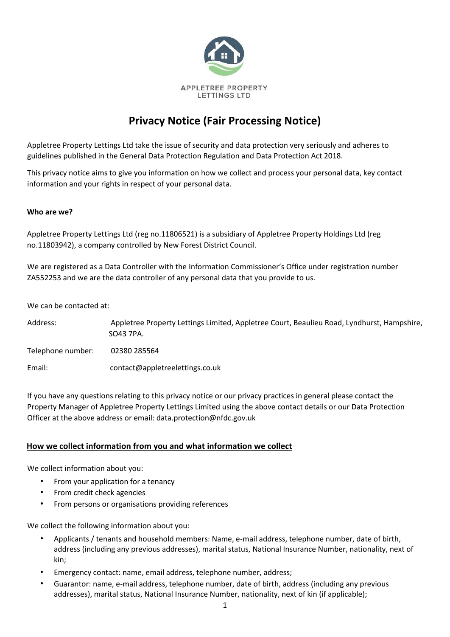

# **Privacy Notice (Fair Processing Notice)**

Appletree Property Lettings Ltd take the issue of security and data protection very seriously and adheres to guidelines published in the General Data Protection Regulation and Data Protection Act 2018.

This privacy notice aims to give you information on how we collect and process your personal data, key contact information and your rights in respect of your personal data.

#### **Who are we?**

Appletree Property Lettings Ltd (reg no.11806521) is a subsidiary of Appletree Property Holdings Ltd (reg no.11803942), a company controlled by New Forest District Council.

We are registered as a Data Controller with the Information Commissioner's Office under registration number ZA552253 and we are the data controller of any personal data that you provide to us.

We can be contacted at:

Address: Appletree Property Lettings Limited, Appletree Court, Beaulieu Road, Lyndhurst, Hampshire, SO43 7PA. Telephone number: 02380 285564 Email: contact@appletreelettings.co.uk

If you have any questions relating to this privacy notice or our privacy practices in general please contact the Property Manager of Appletree Property Lettings Limited using the above contact details or our Data Protection Officer at the above address or email: data.protection@nfdc.gov.uk

## **How we collect information from you and what information we collect**

We collect information about you:

- From your application for a tenancy
- From credit check agencies
- From persons or organisations providing references

We collect the following information about you:

- Applicants / tenants and household members: Name, e-mail address, telephone number, date of birth, address (including any previous addresses), marital status, National Insurance Number, nationality, next of kin;
- Emergency contact: name, email address, telephone number, address;
- Guarantor: name, e-mail address, telephone number, date of birth, address (including any previous addresses), marital status, National Insurance Number, nationality, next of kin (if applicable);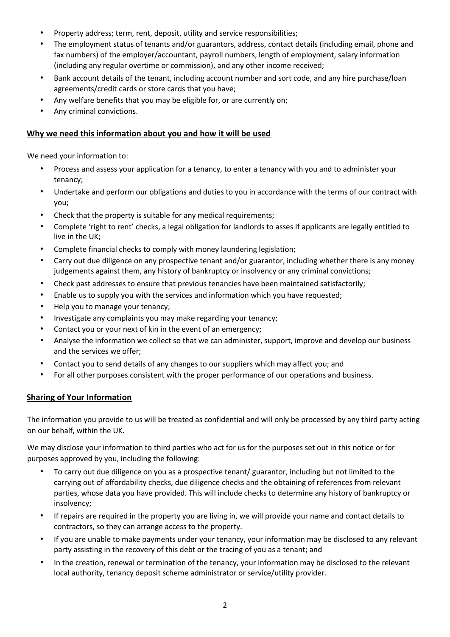- Property address; term, rent, deposit, utility and service responsibilities;
- The employment status of tenants and/or guarantors, address, contact details (including email, phone and fax numbers) of the employer/accountant, payroll numbers, length of employment, salary information (including any regular overtime or commission), and any other income received;
- Bank account details of the tenant, including account number and sort code, and any hire purchase/loan agreements/credit cards or store cards that you have;
- Any welfare benefits that you may be eligible for, or are currently on;
- Any criminal convictions.

## **Why we need this information about you and how it will be used**

We need your information to:

- Process and assess your application for a tenancy, to enter a tenancy with you and to administer your tenancy;
- Undertake and perform our obligations and duties to you in accordance with the terms of our contract with you;
- Check that the property is suitable for any medical requirements;
- Complete 'right to rent' checks, a legal obligation for landlords to asses if applicants are legally entitled to live in the UK;
- Complete financial checks to comply with money laundering legislation;
- Carry out due diligence on any prospective tenant and/or guarantor, including whether there is any money judgements against them, any history of bankruptcy or insolvency or any criminal convictions;
- Check past addresses to ensure that previous tenancies have been maintained satisfactorily;
- Enable us to supply you with the services and information which you have requested;
- Help you to manage your tenancy;
- Investigate any complaints you may make regarding your tenancy;
- Contact you or your next of kin in the event of an emergency;
- Analyse the information we collect so that we can administer, support, improve and develop our business and the services we offer;
- Contact you to send details of any changes to our suppliers which may affect you; and
- For all other purposes consistent with the proper performance of our operations and business.

## **Sharing of Your Information**

The information you provide to us will be treated as confidential and will only be processed by any third party acting on our behalf, within the UK.

We may disclose your information to third parties who act for us for the purposes set out in this notice or for purposes approved by you, including the following:

- To carry out due diligence on you as a prospective tenant/ guarantor, including but not limited to the carrying out of affordability checks, due diligence checks and the obtaining of references from relevant parties, whose data you have provided. This will include checks to determine any history of bankruptcy or insolvency;
- If repairs are required in the property you are living in, we will provide your name and contact details to contractors, so they can arrange access to the property.
- If you are unable to make payments under your tenancy, your information may be disclosed to any relevant party assisting in the recovery of this debt or the tracing of you as a tenant; and
- In the creation, renewal or termination of the tenancy, your information may be disclosed to the relevant local authority, tenancy deposit scheme administrator or service/utility provider.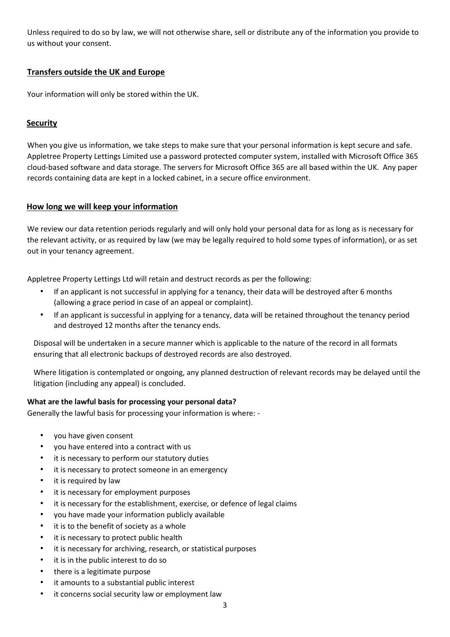Unless required to do so by law, we will not otherwise share, sell or distribute any of the information you provide to us without your consent.

## **Transfers outside the UK and Europe**

Your information will only be stored within the UK.

## **Security**

When you give us information, we take steps to make sure that your personal information is kept secure and safe. Appletree Property Lettings Limited use a password protected computer system, installed with Microsoft Office 365 cloud-based software and data storage. The servers for Microsoft Office 365 are all based within the UK. Any paper records containing data are kept in a locked cabinet, in a secure office environment.

## **How long we will keep your information**

We review our data retention periods regularly and will only hold your personal data for as long as is necessary for the relevant activity, or as required by law (we may be legally required to hold some types of information), or as set out in your tenancy agreement.

Appletree Property Lettings Ltd will retain and destruct records as per the following:

- If an applicant is not successful in applying for a tenancy, their data will be destroyed after 6 months (allowing a grace period in case of an appeal or complaint).
- If an applicant is successful in applying for a tenancy, data will be retained throughout the tenancy period and destroyed 12 months after the tenancy ends.

Disposal will be undertaken in a secure manner which is applicable to the nature of the record in all formats ensuring that all electronic backups of destroyed records are also destroyed.

Where litigation is contemplated or ongoing, any planned destruction of relevant records may be delayed until the litigation (including any appeal) is concluded.

## **What are the lawful basis for processing your personal data?**

Generally the lawful basis for processing your information is where: -

- you have given consent
- you have entered into a contract with us
- it is necessary to perform our statutory duties
- it is necessary to protect someone in an emergency
- it is required by law
- it is necessary for employment purposes
- it is necessary for the establishment, exercise, or defence of legal claims
- you have made your information publicly available
- it is to the benefit of society as a whole
- it is necessary to protect public health
- it is necessary for archiving, research, or statistical purposes
- it is in the public interest to do so
- there is a legitimate purpose
- it amounts to a substantial public interest
- it concerns social security law or employment law